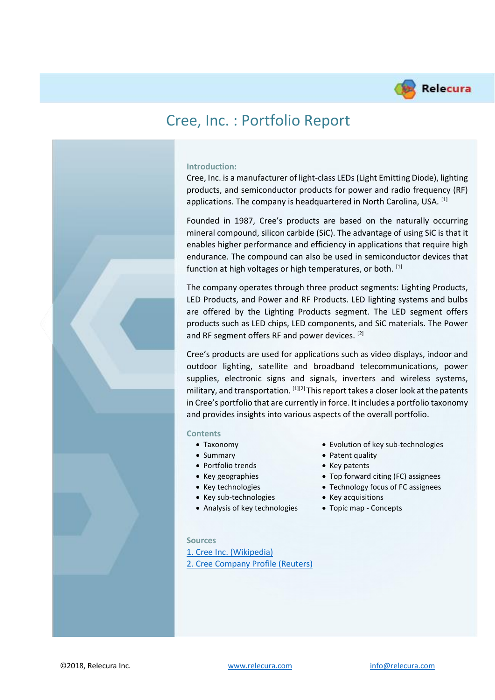

# Cree, Inc. : Portfolio Report

#### **Introduction:**

Cree, Inc. is a manufacturer of light-class LEDs (Light Emitting Diode), lighting products, and semiconductor products for power and radio frequency (RF) applications. The company is headquartered in North Carolina, USA. [1]

Founded in 1987, Cree's products are based on the naturally occurring mineral compound, silicon carbide (SiC). The advantage of using SiC is that it enables higher performance and efficiency in applications that require high endurance. The compound can also be used in semiconductor devices that function at high voltages or high temperatures, or both. [1]

The company operates through three product segments: Lighting Products, LED Products, and Power and RF Products. LED lighting systems and bulbs are offered by the Lighting Products segment. The LED segment offers products such as LED chips, LED components, and SiC materials. The Power and RF segment offers RF and power devices. [2]

Cree's products are used for applications such as video displays, indoor and outdoor lighting, satellite and broadband telecommunications, power supplies, electronic signs and signals, inverters and wireless systems, military, and transportation.  $^{[1][2]}$  This report takes a closer look at the patents in Cree's portfolio that are currently in force. It includes a portfolio taxonomy and provides insights into various aspects of the overall portfolio.

#### **Contents**

- 
- Summary Patent quality
- Portfolio trends Key patents
- 
- 
- Key sub-technologies Key acquisitions
- Analysis of key technologies Topic map Concepts
- Taxonomy Evolution of key sub-technologies
	-
	-
- Key geographies Top forward citing (FC) assignees
- Key technologies Technology focus of FC assignees
	-
	-

#### **Sources**

[1. Cree Inc. \(Wikipedia\)](https://en.wikipedia.org/wiki/Cree_Inc.) [2. Cree Company Profile \(Reuters\)](https://www.reuters.com/finance/stocks/company-profile/CREE.O)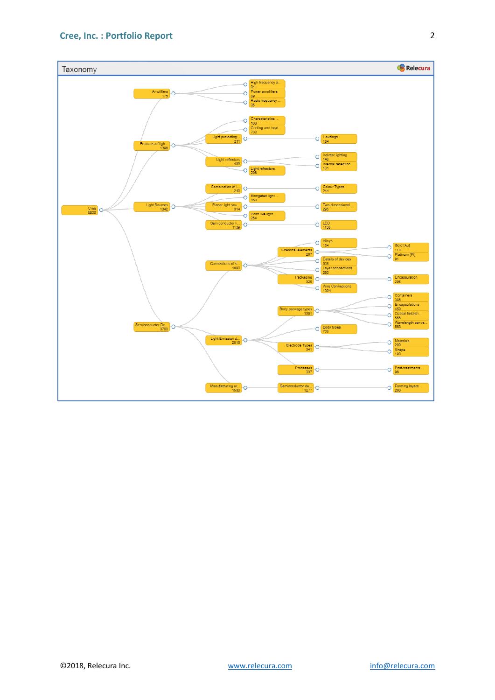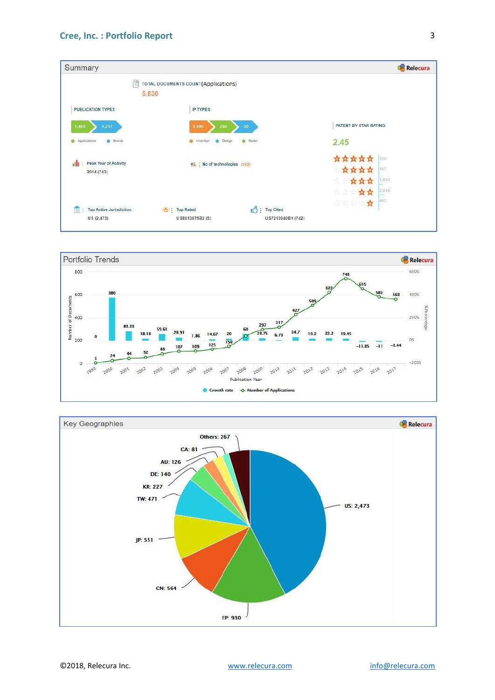



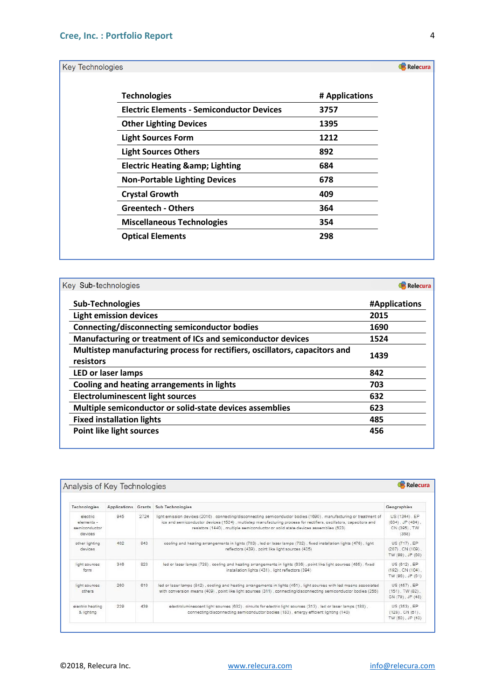Key Technologies

| <b>Technologies</b>                              | # Applications |
|--------------------------------------------------|----------------|
| <b>Electric Elements - Semiconductor Devices</b> | 3757           |
| <b>Other Lighting Devices</b>                    | 1395           |
| <b>Light Sources Form</b>                        | 1212           |
| <b>Light Sources Others</b>                      | 892            |
| <b>Electric Heating &amp; Lighting</b>           | 684            |
| <b>Non-Portable Lighting Devices</b>             | 678            |
| <b>Crystal Growth</b>                            | 409            |
| <b>Greentech - Others</b>                        | 364            |
| <b>Miscellaneous Technologies</b>                | 354            |
| <b>Optical Elements</b>                          | 298            |

| Key Sub-technologies                                                                     | Relecura      |
|------------------------------------------------------------------------------------------|---------------|
| <b>Sub-Technologies</b>                                                                  | #Applications |
| <b>Light emission devices</b>                                                            | 2015          |
| Connecting/disconnecting semiconductor bodies                                            | 1690          |
| Manufacturing or treatment of ICs and semiconductor devices                              | 1524          |
| Multistep manufacturing process for rectifiers, oscillators, capacitors and<br>resistors | 1439          |
| <b>LED or laser lamps</b>                                                                | 842           |
| Cooling and heating arrangements in lights                                               | 703           |
| <b>Electroluminescent light sources</b>                                                  | 632           |
| Multiple semiconductor or solid-state devices assemblies                                 | 623           |
| <b>Fixed installation lights</b>                                                         | 485           |
| <b>Point like light sources</b>                                                          | 456           |

| Relecura<br>Analysis of Key Technologies           |     |      |                                                                                                                                                                                                                                                                                                                             |                                                                  |  |
|----------------------------------------------------|-----|------|-----------------------------------------------------------------------------------------------------------------------------------------------------------------------------------------------------------------------------------------------------------------------------------------------------------------------------|------------------------------------------------------------------|--|
| Technologies                                       |     |      | Applications Grants Sub Technologies                                                                                                                                                                                                                                                                                        | Geographies                                                      |  |
| electric<br>elements -<br>semiconductor<br>devices | 945 | 2724 | light emission devices (2016), connecting/disconnecting semiconductor bodies (1690), manufacturing or treatment of<br>ics and semiconductor devices (1524), multistep manufacturing process for rectifiers, oscillators, capacitors and<br>resistors (1440), multiple semiconductor or solid state devices assemblies (623) | US (1344), EP<br>$(634)$ , JP $(484)$ ,<br>CN (395), TW<br>(368) |  |
| other lighting<br>devices                          | 402 | 943  | cooling and heating arrangements in lights (703), led or laser lamps (702), fixed installation lights (476), light<br>reflectors (439), point like light sources (435)                                                                                                                                                      | US (717), EP<br>$(207)$ , CN $(109)$ ,<br>TW (99), JP (60)       |  |
| light sources<br>form                              | 346 | 823  | led or laser lamps (728), cooling and heating arrangements in lights (636), point like light sources (465), fixed<br>installation lights (431), light reflectors (394)                                                                                                                                                      | US (612), EP<br>$(192)$ , CN $(104)$ ,<br>TW (96), JP (61)       |  |
| light sources<br>others                            | 260 | 610  | led or laser lamps (842), cooling and heating arrangements in lights (451), light sources with led means associated<br>with conversion means (409), point like light sources (311), connecting/disconnecting semiconductor bodies (256)                                                                                     | US (457), EP<br>$(151)$ , TW $(82)$ .<br>CN (79), JP (48)        |  |
| electric heating<br>& lighting                     | 229 | 439  | electroluminescent light sources (632), circuits for electric light sources (313), led or laser lamps (188),<br>connecting/disconnecting semiconductor bodies (183), energy efficient lighting (140)                                                                                                                        | US (353), EP<br>$(128)$ , CN $(61)$ ,<br>TW (50), JP (43)        |  |

Relecura

4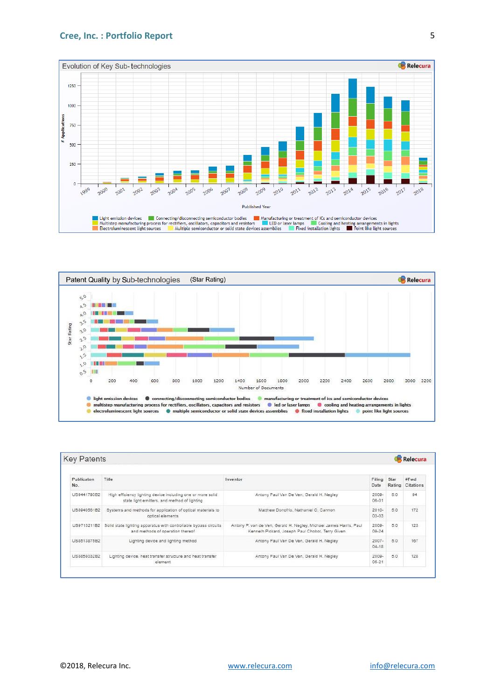#### **Cree, Inc. : Portfolio Report**





| <b>Key Patents</b><br>Relecura |                                                                                                             |                                                                                                                        |                       |                |                    |
|--------------------------------|-------------------------------------------------------------------------------------------------------------|------------------------------------------------------------------------------------------------------------------------|-----------------------|----------------|--------------------|
| Publicaton<br>No.              | Title                                                                                                       | Inventor                                                                                                               | Filing<br>Date        | Star<br>Rating | #Fwd<br>Citations  |
| US9441793B2                    | High efficiency lighting device including one or more solid<br>state light emitters, and method of lighting | Antony Paul Van De Ven, Gerald H. Negley                                                                               | $2009 -$<br>06-01     | 5.0            | Q4                 |
| US8940561B2                    | Systems and methods for application of optical materials to<br>optical elements                             | Matthew Donofrio, Nathaniel O. Cannon.                                                                                 | $2010 -$<br>$03 - 03$ | 5.0            | 172                |
| US9713211B2                    | Solid state lighting apparatus with controllable bypass circuits<br>and methods of operation thereof        | Antony P. van de Ven, Gerald H. Negley, Michael James Harris, Paul<br>Kenneth Pickard, Joseph Paul Chobot, Terry Given | 2009-<br>09-24        | 5.0            | 123<br><b>STAR</b> |
| LIS8513875B2                   | Lighting device and lighting method                                                                         | Antony Paul Van De Ven, Gerald H. Negley                                                                               | $2007 -$<br>$04 - 18$ | 5.0            | 167                |
| LIS8858032B2                   | Lighting device, heat transfer structure and heat transfer<br>element                                       | Antony Paul Van De Ven, Gerald H. Negley                                                                               | 2009-<br>$05 - 21$    | 5.0            | 128                |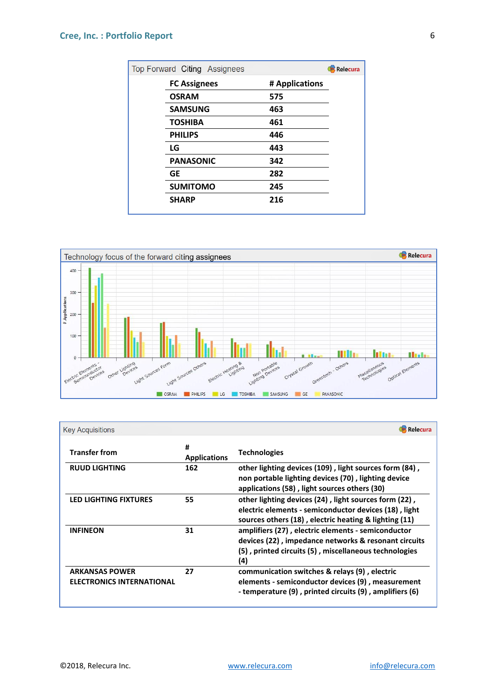### **Cree, Inc. : Portfolio Report**

| Top Forward Citing Assignees |                | Relecura |
|------------------------------|----------------|----------|
| <b>FC Assignees</b>          | # Applications |          |
| <b>OSRAM</b>                 | 575            |          |
| <b>SAMSUNG</b>               | 463            |          |
| <b>TOSHIBA</b>               | 461            |          |
| <b>PHILIPS</b>               | 446            |          |
| LG                           | 443            |          |
| <b>PANASONIC</b>             | 342            |          |
| <b>GE</b>                    | 282            |          |
| <b>SUMITOMO</b>              | 245            |          |
| <b>SHARP</b>                 | 216            |          |



| <b>Key Acquisitions</b>                                   |                          | Relecura                                                                                                                                                                   |
|-----------------------------------------------------------|--------------------------|----------------------------------------------------------------------------------------------------------------------------------------------------------------------------|
| <b>Transfer from</b>                                      | #<br><b>Applications</b> | <b>Technologies</b>                                                                                                                                                        |
| <b>RUUD LIGHTING</b>                                      | 162                      | other lighting devices (109), light sources form (84),<br>non portable lighting devices (70), lighting device<br>applications (58), light sources others (30)              |
| <b>LED LIGHTING FIXTURES</b>                              | 55                       | other lighting devices (24), light sources form (22),<br>electric elements - semiconductor devices (18), light<br>sources others (18), electric heating & lighting (11)    |
| <b>INFINEON</b>                                           | 31                       | amplifiers (27), electric elements - semiconductor<br>devices (22), impedance networks & resonant circuits<br>(5), printed circuits (5), miscellaneous technologies<br>(4) |
| <b>ARKANSAS POWER</b><br><b>ELECTRONICS INTERNATIONAL</b> | 27                       | communication switches & relays (9), electric<br>elements - semiconductor devices (9), measurement<br>- temperature (9), printed circuits (9), amplifiers (6)              |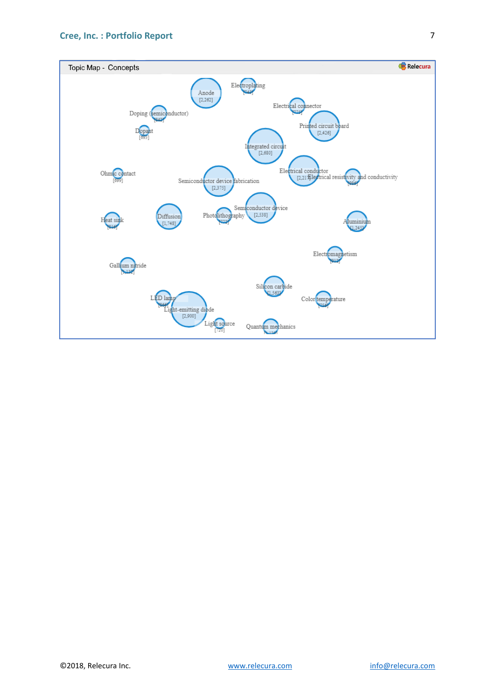